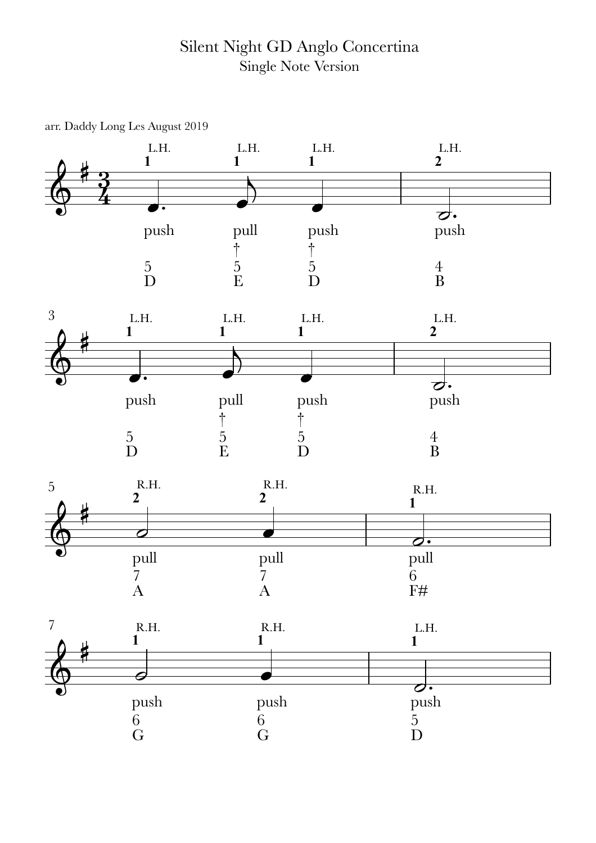## Silent Night GD Anglo Concertina Single Note Version

arr. Daddy Long Les August 2019

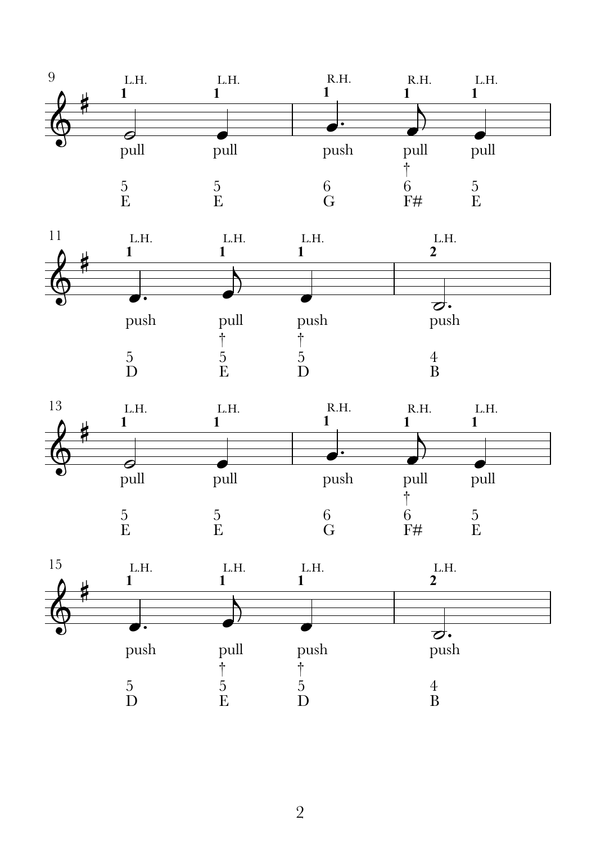

2